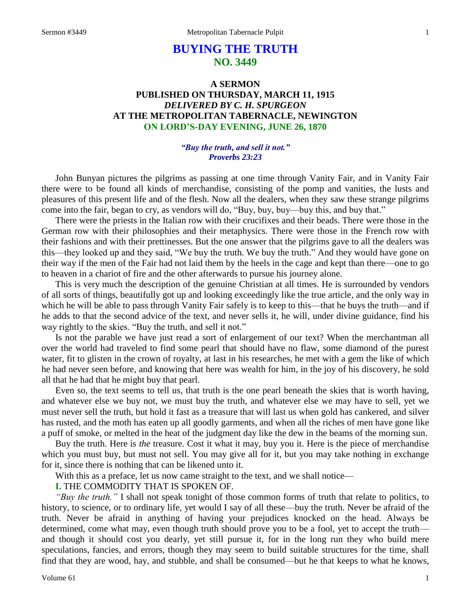# **BUYING THE TRUTH NO. 3449**

## **A SERMON PUBLISHED ON THURSDAY, MARCH 11, 1915** *DELIVERED BY C. H. SPURGEON* **AT THE METROPOLITAN TABERNACLE, NEWINGTON ON LORD'S-DAY EVENING, JUNE 26, 1870**

#### *"Buy the truth, and sell it not." Proverbs 23:23*

John Bunyan pictures the pilgrims as passing at one time through Vanity Fair, and in Vanity Fair there were to be found all kinds of merchandise, consisting of the pomp and vanities, the lusts and pleasures of this present life and of the flesh. Now all the dealers, when they saw these strange pilgrims come into the fair, began to cry, as vendors will do, "Buy, buy, buy—buy this, and buy that."

There were the priests in the Italian row with their crucifixes and their beads. There were those in the German row with their philosophies and their metaphysics. There were those in the French row with their fashions and with their prettinesses. But the one answer that the pilgrims gave to all the dealers was this—they looked up and they said, "We buy the truth. We buy the truth." And they would have gone on their way if the men of the Fair had not laid them by the heels in the cage and kept than there—one to go to heaven in a chariot of fire and the other afterwards to pursue his journey alone.

This is very much the description of the genuine Christian at all times. He is surrounded by vendors of all sorts of things, beautifully got up and looking exceedingly like the true article, and the only way in which he will be able to pass through Vanity Fair safely is to keep to this—that he buys the truth—and if he adds to that the second advice of the text, and never sells it, he will, under divine guidance, find his way rightly to the skies. "Buy the truth, and sell it not."

Is not the parable we have just read a sort of enlargement of our text? When the merchantman all over the world had traveled to find some pearl that should have no flaw, some diamond of the purest water, fit to glisten in the crown of royalty, at last in his researches, he met with a gem the like of which he had never seen before, and knowing that here was wealth for him, in the joy of his discovery, he sold all that he had that he might buy that pearl.

Even so, the text seems to tell us, that truth is the one pearl beneath the skies that is worth having, and whatever else we buy not, we must buy the truth, and whatever else we may have to sell, yet we must never sell the truth, but hold it fast as a treasure that will last us when gold has cankered, and silver has rusted, and the moth has eaten up all goodly garments, and when all the riches of men have gone like a puff of smoke, or melted in the heat of the judgment day like the dew in the beams of the morning sun.

Buy the truth. Here is *the* treasure. Cost it what it may, buy you it. Here is the piece of merchandise which you must buy, but must not sell. You may give all for it, but you may take nothing in exchange for it, since there is nothing that can be likened unto it.

With this as a preface, let us now came straight to the text, and we shall notice—

## **I.** THE COMMODITY THAT IS SPOKEN OF.

*"Buy the truth."* I shall not speak tonight of those common forms of truth that relate to politics, to history, to science, or to ordinary life, yet would I say of all these—buy the truth. Never be afraid of the truth. Never be afraid in anything of having your prejudices knocked on the head. Always be determined, come what may, even though truth should prove you to be a fool, yet to accept the truth and though it should cost you dearly, yet still pursue it, for in the long run they who build mere speculations, fancies, and errors, though they may seem to build suitable structures for the time, shall find that they are wood, hay, and stubble, and shall be consumed—but he that keeps to what he knows,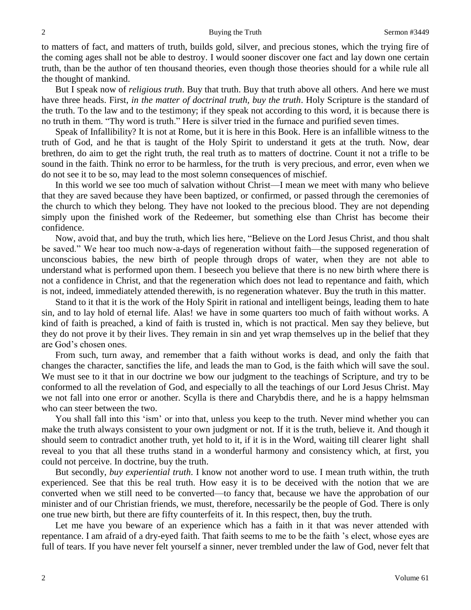#### 2 Buying the Truth Sermon #3449

to matters of fact, and matters of truth, builds gold, silver, and precious stones, which the trying fire of the coming ages shall not be able to destroy. I would sooner discover one fact and lay down one certain truth, than be the author of ten thousand theories, even though those theories should for a while rule all the thought of mankind.

But I speak now of *religious truth*. Buy that truth. Buy that truth above all others. And here we must have three heads. First, *in the matter of doctrinal truth, buy the truth*. Holy Scripture is the standard of the truth. To the law and to the testimony; if they speak not according to this word, it is because there is no truth in them. "Thy word is truth." Here is silver tried in the furnace and purified seven times.

Speak of Infallibility? It is not at Rome, but it is here in this Book. Here is an infallible witness to the truth of God, and he that is taught of the Holy Spirit to understand it gets at the truth. Now, dear brethren, do aim to get the right truth, the real truth as to matters of doctrine. Count it not a trifle to be sound in the faith. Think no error to be harmless, for the truth is very precious, and error, even when we do not see it to be so, may lead to the most solemn consequences of mischief.

In this world we see too much of salvation without Christ—I mean we meet with many who believe that they are saved because they have been baptized, or confirmed, or passed through the ceremonies of the church to which they belong. They have not looked to the precious blood. They are not depending simply upon the finished work of the Redeemer, but something else than Christ has become their confidence.

Now, avoid that, and buy the truth, which lies here, "Believe on the Lord Jesus Christ, and thou shalt be saved." We hear too much now-a-days of regeneration without faith—the supposed regeneration of unconscious babies, the new birth of people through drops of water, when they are not able to understand what is performed upon them. I beseech you believe that there is no new birth where there is not a confidence in Christ, and that the regeneration which does not lead to repentance and faith, which is not, indeed, immediately attended therewith, is no regeneration whatever. Buy the truth in this matter.

Stand to it that it is the work of the Holy Spirit in rational and intelligent beings, leading them to hate sin, and to lay hold of eternal life. Alas! we have in some quarters too much of faith without works. A kind of faith is preached, a kind of faith is trusted in, which is not practical. Men say they believe, but they do not prove it by their lives. They remain in sin and yet wrap themselves up in the belief that they are God's chosen ones.

From such, turn away, and remember that a faith without works is dead, and only the faith that changes the character, sanctifies the life, and leads the man to God, is the faith which will save the soul. We must see to it that in our doctrine we bow our judgment to the teachings of Scripture, and try to be conformed to all the revelation of God, and especially to all the teachings of our Lord Jesus Christ. May we not fall into one error or another. Scylla is there and Charybdis there, and he is a happy helmsman who can steer between the two.

You shall fall into this 'ism' or into that, unless you keep to the truth. Never mind whether you can make the truth always consistent to your own judgment or not. If it is the truth, believe it. And though it should seem to contradict another truth, yet hold to it, if it is in the Word, waiting till clearer light shall reveal to you that all these truths stand in a wonderful harmony and consistency which, at first, you could not perceive. In doctrine, buy the truth.

But secondly, *buy experiential truth*. I know not another word to use. I mean truth within, the truth experienced. See that this be real truth. How easy it is to be deceived with the notion that we are converted when we still need to be converted—to fancy that, because we have the approbation of our minister and of our Christian friends, we must, therefore, necessarily be the people of God. There is only one true new birth, but there are fifty counterfeits of it. In this respect, then, buy the truth.

Let me have you beware of an experience which has a faith in it that was never attended with repentance. I am afraid of a dry-eyed faith. That faith seems to me to be the faith 's elect, whose eyes are full of tears. If you have never felt yourself a sinner, never trembled under the law of God, never felt that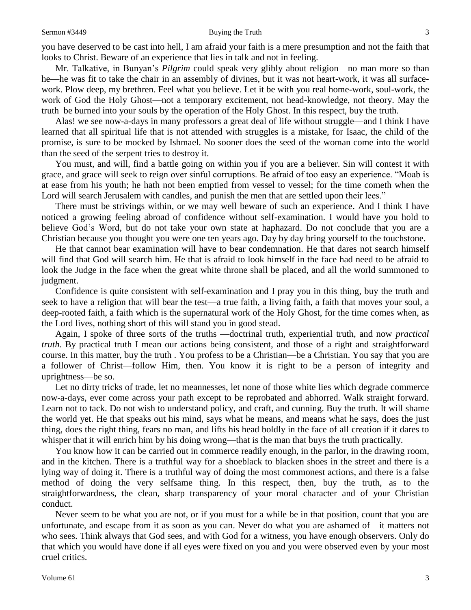#### Sermon #3449 Buying the Truth 3

you have deserved to be cast into hell, I am afraid your faith is a mere presumption and not the faith that looks to Christ. Beware of an experience that lies in talk and not in feeling.

Mr. Talkative, in Bunyan's *Pilgrim* could speak very glibly about religion—no man more so than he—he was fit to take the chair in an assembly of divines, but it was not heart-work, it was all surfacework. Plow deep, my brethren. Feel what you believe. Let it be with you real home-work, soul-work, the work of God the Holy Ghost—not a temporary excitement, not head-knowledge, not theory. May the truth be burned into your souls by the operation of the Holy Ghost. In this respect, buy the truth.

Alas! we see now-a-days in many professors a great deal of life without struggle—and I think I have learned that all spiritual life that is not attended with struggles is a mistake, for Isaac, the child of the promise, is sure to be mocked by Ishmael. No sooner does the seed of the woman come into the world than the seed of the serpent tries to destroy it.

You must, and will, find a battle going on within you if you are a believer. Sin will contest it with grace, and grace will seek to reign over sinful corruptions. Be afraid of too easy an experience. "Moab is at ease from his youth; he hath not been emptied from vessel to vessel; for the time cometh when the Lord will search Jerusalem with candles, and punish the men that are settled upon their lees."

There must be strivings within, or we may well beware of such an experience. And I think I have noticed a growing feeling abroad of confidence without self-examination. I would have you hold to believe God's Word, but do not take your own state at haphazard. Do not conclude that you are a Christian because you thought you were one ten years ago. Day by day bring yourself to the touchstone.

He that cannot bear examination will have to bear condemnation. He that dares not search himself will find that God will search him. He that is afraid to look himself in the face had need to be afraid to look the Judge in the face when the great white throne shall be placed, and all the world summoned to judgment.

Confidence is quite consistent with self-examination and I pray you in this thing, buy the truth and seek to have a religion that will bear the test—a true faith, a living faith, a faith that moves your soul, a deep-rooted faith, a faith which is the supernatural work of the Holy Ghost, for the time comes when, as the Lord lives, nothing short of this will stand you in good stead.

Again, I spoke of three sorts of the truths —doctrinal truth, experiential truth, and now *practical truth*. By practical truth I mean our actions being consistent, and those of a right and straightforward course. In this matter, buy the truth . You profess to be a Christian—be a Christian. You say that you are a follower of Christ—follow Him, then. You know it is right to be a person of integrity and uprightness—be so.

Let no dirty tricks of trade, let no meannesses, let none of those white lies which degrade commerce now-a-days, ever come across your path except to be reprobated and abhorred. Walk straight forward. Learn not to tack. Do not wish to understand policy, and craft, and cunning. Buy the truth. It will shame the world yet. He that speaks out his mind, says what he means, and means what he says, does the just thing, does the right thing, fears no man, and lifts his head boldly in the face of all creation if it dares to whisper that it will enrich him by his doing wrong—that is the man that buys the truth practically.

You know how it can be carried out in commerce readily enough, in the parlor, in the drawing room, and in the kitchen. There is a truthful way for a shoeblack to blacken shoes in the street and there is a lying way of doing it. There is a truthful way of doing the most commonest actions, and there is a false method of doing the very selfsame thing. In this respect, then, buy the truth, as to the straightforwardness, the clean, sharp transparency of your moral character and of your Christian conduct.

Never seem to be what you are not, or if you must for a while be in that position, count that you are unfortunate, and escape from it as soon as you can. Never do what you are ashamed of—it matters not who sees. Think always that God sees, and with God for a witness, you have enough observers. Only do that which you would have done if all eyes were fixed on you and you were observed even by your most cruel critics.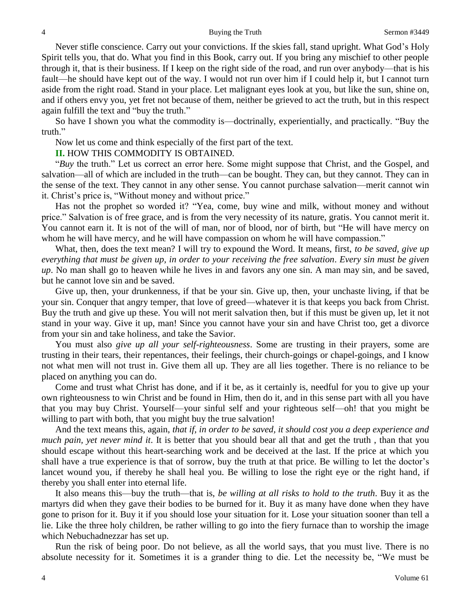Never stifle conscience. Carry out your convictions. If the skies fall, stand upright. What God's Holy Spirit tells you, that do. What you find in this Book, carry out. If you bring any mischief to other people through it, that is their business. If I keep on the right side of the road, and run over anybody—that is his fault—he should have kept out of the way. I would not run over him if I could help it, but I cannot turn aside from the right road. Stand in your place. Let malignant eyes look at you, but like the sun, shine on, and if others envy you, yet fret not because of them, neither be grieved to act the truth, but in this respect again fulfill the text and "buy the truth."

So have I shown you what the commodity is—doctrinally, experientially, and practically. "Buy the truth."

Now let us come and think especially of the first part of the text.

## **II.** HOW THIS COMMODITY IS OBTAINED.

"*Buy* the truth." Let us correct an error here. Some might suppose that Christ, and the Gospel, and salvation—all of which are included in the truth—can be bought. They can, but they cannot. They can in the sense of the text. They cannot in any other sense. You cannot purchase salvation—merit cannot win it. Christ's price is, "Without money and without price."

Has not the prophet so worded it? "Yea, come, buy wine and milk, without money and without price." Salvation is of free grace, and is from the very necessity of its nature, gratis. You cannot merit it. You cannot earn it. It is not of the will of man, nor of blood, nor of birth, but "He will have mercy on whom he will have mercy, and he will have compassion on whom he will have compassion."

What, then, does the text mean? I will try to expound the Word. It means, first, *to be saved, give up everything that must be given up, in order to your receiving the free salvation*. *Every sin must be given up*. No man shall go to heaven while he lives in and favors any one sin. A man may sin, and be saved, but he cannot love sin and be saved.

Give up, then, your drunkenness, if that be your sin. Give up, then, your unchaste living, if that be your sin. Conquer that angry temper, that love of greed—whatever it is that keeps you back from Christ. Buy the truth and give up these. You will not merit salvation then, but if this must be given up, let it not stand in your way. Give it up, man! Since you cannot have your sin and have Christ too, get a divorce from your sin and take holiness, and take the Savior.

You must also *give up all your self-righteousness*. Some are trusting in their prayers, some are trusting in their tears, their repentances, their feelings, their church-goings or chapel-goings, and I know not what men will not trust in. Give them all up. They are all lies together. There is no reliance to be placed on anything you can do.

Come and trust what Christ has done, and if it be, as it certainly is, needful for you to give up your own righteousness to win Christ and be found in Him, then do it, and in this sense part with all you have that you may buy Christ. Yourself—your sinful self and your righteous self—oh! that you might be willing to part with both, that you might buy the true salvation!

And the text means this, again, *that if, in order to be saved, it should cost you a deep experience and much pain, yet never mind it*. It is better that you should bear all that and get the truth , than that you should escape without this heart-searching work and be deceived at the last. If the price at which you shall have a true experience is that of sorrow, buy the truth at that price. Be willing to let the doctor's lancet wound you, if thereby he shall heal you. Be willing to lose the right eye or the right hand, if thereby you shall enter into eternal life.

It also means this—buy the truth—that is, *be willing at all risks to hold to the truth*. Buy it as the martyrs did when they gave their bodies to be burned for it. Buy it as many have done when they have gone to prison for it. Buy it if you should lose your situation for it. Lose your situation sooner than tell a lie. Like the three holy children, be rather willing to go into the fiery furnace than to worship the image which Nebuchadnezzar has set up.

Run the risk of being poor. Do not believe, as all the world says, that you must live. There is no absolute necessity for it. Sometimes it is a grander thing to die. Let the necessity be, "We must be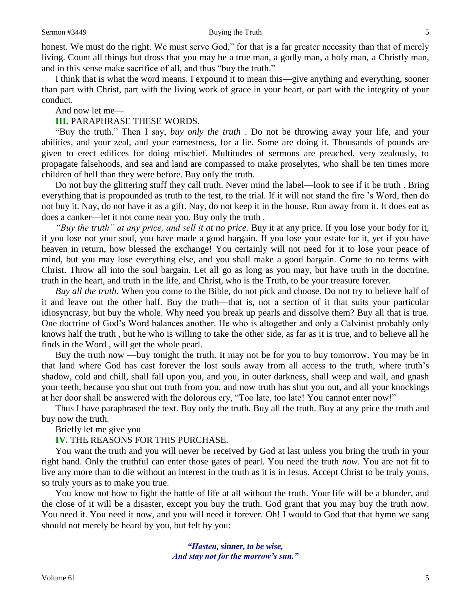honest. We must do the right. We must serve God," for that is a far greater necessity than that of merely living. Count all things but dross that you may be a true man, a godly man, a holy man, a Christly man, and in this sense make sacrifice of all, and thus "buy the truth."

I think that is what the word means. I expound it to mean this—give anything and everything, sooner than part with Christ, part with the living work of grace in your heart, or part with the integrity of your conduct.

#### And now let me—

#### **III.** PARAPHRASE THESE WORDS.

"Buy the truth." Then I say, *buy only the truth* . Do not be throwing away your life, and your abilities, and your zeal, and your earnestness, for a lie. Some are doing it. Thousands of pounds are given to erect edifices for doing mischief. Multitudes of sermons are preached, very zealously, to propagate falsehoods, and sea and land are compassed to make proselytes, who shall be ten times more children of hell than they were before. Buy only the truth.

Do not buy the glittering stuff they call truth. Never mind the label—look to see if it be truth . Bring everything that is propounded as truth to the test, to the trial. If it will not stand the fire 's Word, then do not buy it. Nay, do not have it as a gift. Nay, do not keep it in the house. Run away from it. It does eat as does a canker—let it not come near you. Buy only the truth .

*"Buy the truth" at any price, and sell it at no price.* Buy it at any price. If you lose your body for it, if you lose not your soul, you have made a good bargain. If you lose your estate for it, yet if you have heaven in return, how blessed the exchange! You certainly will not need for it to lose your peace of mind, but you may lose everything else, and you shall make a good bargain. Come to no terms with Christ. Throw all into the soul bargain. Let all go as long as you may, but have truth in the doctrine, truth in the heart, and truth in the life, and Christ, who is the Truth, to be your treasure forever.

*Buy all the truth*. When you come to the Bible, do not pick and choose. Do not try to believe half of it and leave out the other half. Buy the truth—that is, not a section of it that suits your particular idiosyncrasy, but buy the whole. Why need you break up pearls and dissolve them? Buy all that is true. One doctrine of God's Word balances another. He who is altogether and only a Calvinist probably only knows half the truth , but he who is willing to take the other side, as far as it is true, and to believe all he finds in the Word , will get the whole pearl.

Buy the truth now —buy tonight the truth. It may not be for you to buy tomorrow. You may be in that land where God has cast forever the lost souls away from all access to the truth, where truth's shadow, cold and chill, shall fall upon you, and you, in outer darkness, shall weep and wail, and gnash your teeth, because you shut out truth from you, and now truth has shut you out, and all your knockings at her door shall be answered with the dolorous cry, "Too late, too late! You cannot enter now!"

Thus I have paraphrased the text. Buy only the truth. Buy all the truth. Buy at any price the truth and buy now the truth.

Briefly let me give you—

## **IV.** THE REASONS FOR THIS PURCHASE.

You want the truth and you will never be received by God at last unless you bring the truth in your right hand. Only the truthful can enter those gates of pearl. You need the truth *now*. You are not fit to live any more than to die without an interest in the truth as it is in Jesus. Accept Christ to be truly yours, so truly yours as to make you true.

You know not how to fight the battle of life at all without the truth. Your life will be a blunder, and the close of it will be a disaster, except you buy the truth. God grant that you may buy the truth now. You need it. You need it now, and you will need it forever. Oh! I would to God that that hymn we sang should not merely be heard by you, but felt by you:

> *"Hasten, sinner, to be wise, And stay not for the morrow's sun."*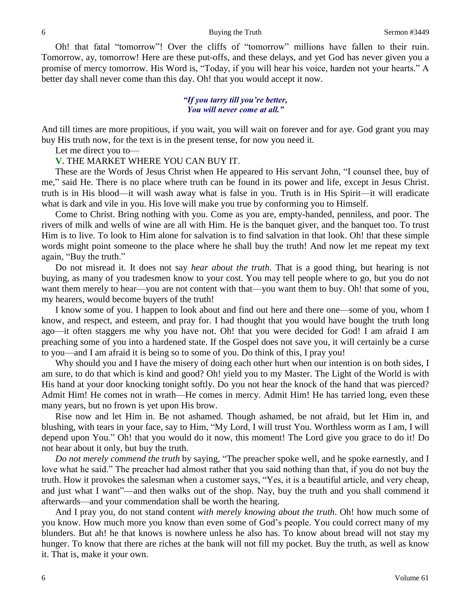Oh! that fatal "tomorrow"! Over the cliffs of "tomorrow" millions have fallen to their ruin. Tomorrow, ay, tomorrow! Here are these put-offs, and these delays, and yet God has never given you a promise of mercy tomorrow. His Word is, "Today, if you will hear his voice, harden not your hearts." A better day shall never come than this day. Oh! that you would accept it now.

> *"If you tarry till you're better, You will never come at all."*

And till times are more propitious, if you wait, you will wait on forever and for aye. God grant you may buy His truth now, for the text is in the present tense, for now you need it.

Let me direct you to—

### **V.** THE MARKET WHERE YOU CAN BUY IT.

These are the Words of Jesus Christ when He appeared to His servant John, "I counsel thee, buy of me," said He. There is no place where truth can be found in its power and life, except in Jesus Christ. truth is in His blood—it will wash away what is false in you. Truth is in His Spirit—it will eradicate what is dark and vile in you. His love will make you true by conforming you to Himself.

Come to Christ. Bring nothing with you. Come as you are, empty-handed, penniless, and poor. The rivers of milk and wells of wine are all with Him. He is the banquet giver, and the banquet too. To trust Him is to live. To look to Him alone for salvation is to find salvation in that look. Oh! that these simple words might point someone to the place where he shall buy the truth! And now let me repeat my text again, "Buy the truth."

Do not misread it. It does not say *hear about the truth*. That is a good thing, but hearing is not buying, as many of you tradesmen know to your cost. You may tell people where to go, but you do not want them merely to hear—you are not content with that—you want them to buy. Oh! that some of you, my hearers, would become buyers of the truth!

I know some of you. I happen to look about and find out here and there one—some of you, whom I know, and respect, and esteem, and pray for. I had thought that you would have bought the truth long ago—it often staggers me why you have not. Oh! that you were decided for God! I am afraid I am preaching some of you into a hardened state. If the Gospel does not save you, it will certainly be a curse to you—and I am afraid it is being so to some of you. Do think of this, I pray you!

Why should you and I have the misery of doing each other hurt when our intention is on both sides, I am sure, to do that which is kind and good? Oh! yield you to my Master. The Light of the World is with His hand at your door knocking tonight softly. Do you not hear the knock of the hand that was pierced? Admit Him! He comes not in wrath—He comes in mercy. Admit Him! He has tarried long, even these many years, but no frown is yet upon His brow.

Rise now and let Him in. Be not ashamed. Though ashamed, be not afraid, but let Him in, and blushing, with tears in your face, say to Him, "My Lord, I will trust You. Worthless worm as I am, I will depend upon You." Oh! that you would do it now, this moment! The Lord give you grace to do it! Do not hear about it only, but buy the truth.

*Do not merely commend the truth* by saying, "The preacher spoke well, and he spoke earnestly, and I love what he said." The preacher had almost rather that you said nothing than that, if you do not buy the truth. How it provokes the salesman when a customer says, "Yes, it is a beautiful article, and very cheap, and just what I want"—and then walks out of the shop. Nay, buy the truth and you shall commend it afterwards—and your commendation shall be worth the hearing.

And I pray you, do not stand content *with merely knowing about the truth*. Oh! how much some of you know. How much more you know than even some of God's people. You could correct many of my blunders. But ah! he that knows is nowhere unless he also has. To know about bread will not stay my hunger. To know that there are riches at the bank will not fill my pocket. Buy the truth, as well as know it. That is, make it your own.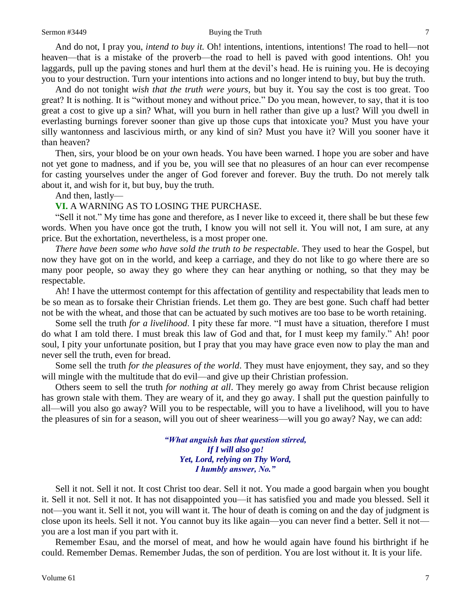#### Sermon #3449 Buying the Truth 7

And do not, I pray you, *intend to buy it.* Oh! intentions, intentions, intentions! The road to hell—not heaven—that is a mistake of the proverb—the road to hell is paved with good intentions. Oh! you laggards, pull up the paving stones and hurl them at the devil's head. He is ruining you. He is decoying you to your destruction. Turn your intentions into actions and no longer intend to buy, but buy the truth.

And do not tonight *wish that the truth were yours*, but buy it. You say the cost is too great. Too great? It is nothing. It is "without money and without price." Do you mean, however, to say, that it is too great a cost to give up a sin? What, will you burn in hell rather than give up a lust? Will you dwell in everlasting burnings forever sooner than give up those cups that intoxicate you? Must you have your silly wantonness and lascivious mirth, or any kind of sin? Must you have it? Will you sooner have it than heaven?

Then, sirs, your blood be on your own heads. You have been warned. I hope you are sober and have not yet gone to madness, and if you be, you will see that no pleasures of an hour can ever recompense for casting yourselves under the anger of God forever and forever. Buy the truth. Do not merely talk about it, and wish for it, but buy, buy the truth.

And then, lastly—

#### **VI.** A WARNING AS TO LOSING THE PURCHASE.

"Sell it not." My time has gone and therefore, as I never like to exceed it, there shall be but these few words. When you have once got the truth, I know you will not sell it. You will not, I am sure, at any price. But the exhortation, nevertheless, is a most proper one.

*There have been some who have sold the truth to be respectable*. They used to hear the Gospel, but now they have got on in the world, and keep a carriage, and they do not like to go where there are so many poor people, so away they go where they can hear anything or nothing, so that they may be respectable.

Ah! I have the uttermost contempt for this affectation of gentility and respectability that leads men to be so mean as to forsake their Christian friends. Let them go. They are best gone. Such chaff had better not be with the wheat, and those that can be actuated by such motives are too base to be worth retaining.

Some sell the truth *for a livelihood*. I pity these far more. "I must have a situation, therefore I must do what I am told there. I must break this law of God and that, for I must keep my family." Ah! poor soul, I pity your unfortunate position, but I pray that you may have grace even now to play the man and never sell the truth, even for bread.

Some sell the truth *for the pleasures of the world*. They must have enjoyment, they say, and so they will mingle with the multitude that do evil—and give up their Christian profession.

Others seem to sell the truth *for nothing at all*. They merely go away from Christ because religion has grown stale with them. They are weary of it, and they go away. I shall put the question painfully to all—will you also go away? Will you to be respectable, will you to have a livelihood, will you to have the pleasures of sin for a season, will you out of sheer weariness—will you go away? Nay, we can add:

> *"What anguish has that question stirred, If I will also go! Yet, Lord, relying on Thy Word, I humbly answer, No."*

Sell it not. Sell it not. It cost Christ too dear. Sell it not. You made a good bargain when you bought it. Sell it not. Sell it not. It has not disappointed you—it has satisfied you and made you blessed. Sell it not—you want it. Sell it not, you will want it. The hour of death is coming on and the day of judgment is close upon its heels. Sell it not. You cannot buy its like again—you can never find a better. Sell it not you are a lost man if you part with it.

Remember Esau, and the morsel of meat, and how he would again have found his birthright if he could. Remember Demas. Remember Judas, the son of perdition. You are lost without it. It is your life.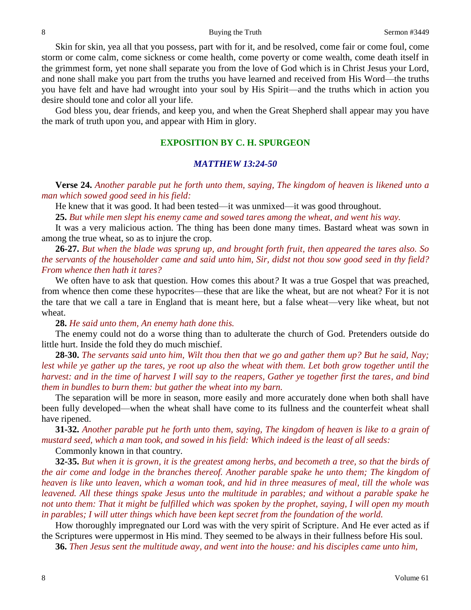Skin for skin, yea all that you possess, part with for it, and be resolved, come fair or come foul, come storm or come calm, come sickness or come health, come poverty or come wealth, come death itself in the grimmest form, yet none shall separate you from the love of God which is in Christ Jesus your Lord, and none shall make you part from the truths you have learned and received from His Word—the truths you have felt and have had wrought into your soul by His Spirit—and the truths which in action you desire should tone and color all your life.

God bless you, dear friends, and keep you, and when the Great Shepherd shall appear may you have the mark of truth upon you, and appear with Him in glory.

## **EXPOSITION BY C. H. SPURGEON**

## *MATTHEW 13:24-50*

**Verse 24.** *Another parable put he forth unto them, saying, The kingdom of heaven is likened unto a man which sowed good seed in his field:*

He knew that it was good. It had been tested—it was unmixed—it was good throughout.

**25.** *But while men slept his enemy came and sowed tares among the wheat, and went his way.* 

It was a very malicious action. The thing has been done many times. Bastard wheat was sown in among the true wheat, so as to injure the crop.

**26-27.** *But when the blade was sprung up, and brought forth fruit, then appeared the tares also. So the servants of the householder came and said unto him, Sir, didst not thou sow good seed in thy field? From whence then hath it tares?* 

We often have to ask that question. How comes this about*?* It was a true Gospel that was preached, from whence then come these hypocrites—these that are like the wheat, but are not wheat? For it is not the tare that we call a tare in England that is meant here, but a false wheat—very like wheat, but not wheat.

**28.** *He said unto them, An enemy hath done this.* 

The enemy could not do a worse thing than to adulterate the church of God. Pretenders outside do little hurt. Inside the fold they do much mischief.

**28-30.** *The servants said unto him, Wilt thou then that we go and gather them up? But he said, Nay; lest while ye gather up the tares, ye root up also the wheat with them. Let both grow together until the harvest: and in the time of harvest I will say to the reapers, Gather ye together first the tares, and bind them in bundles to burn them: but gather the wheat into my barn.*

The separation will be more in season, more easily and more accurately done when both shall have been fully developed—when the wheat shall have come to its fullness and the counterfeit wheat shall have ripened.

**31-32.** *Another parable put he forth unto them, saying, The kingdom of heaven is like to a grain of mustard seed, which a man took, and sowed in his field: Which indeed is the least of all seeds:*

Commonly known in that country.

**32-35.** *But when it is grown, it is the greatest among herbs, and becometh a tree, so that the birds of the air come and lodge in the branches thereof. Another parable spake he unto them; The kingdom of heaven is like unto leaven, which a woman took, and hid in three measures of meal, till the whole was leavened. All these things spake Jesus unto the multitude in parables; and without a parable spake he not unto them: That it might be fulfilled which was spoken by the prophet, saying, I will open my mouth in parables; I will utter things which have been kept secret from the foundation of the world.*

How thoroughly impregnated our Lord was with the very spirit of Scripture. And He ever acted as if the Scriptures were uppermost in His mind. They seemed to be always in their fullness before His soul.

**36.** *Then Jesus sent the multitude away, and went into the house: and his disciples came unto him,*